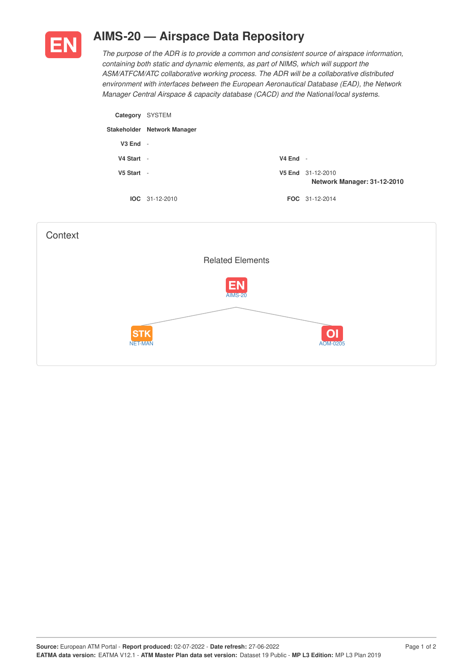

## **AIMS-20 — Airspace Data Repository**

*The purpose of the ADR is to provide a common and consistent source of airspace information, containing both static and dynamic elements, as part of NIMS, which will support the ASM/ATFCM/ATC collaborative working process. The ADR will be a collaborative distributed environment with interfaces between the European Aeronautical Database (EAD), the Network Manager Central Airspace & capacity database (CACD) and the National/local systems.*

| Category     | SYSTEM                      |            |                                                  |
|--------------|-----------------------------|------------|--------------------------------------------------|
|              | Stakeholder Network Manager |            |                                                  |
| $V3$ End $-$ |                             |            |                                                  |
| V4 Start     | $\overline{\phantom{a}}$    | $V4$ End - |                                                  |
| V5 Start     | $\overline{\phantom{a}}$    |            | V5 End 31-12-2010<br>Network Manager: 31-12-2010 |
|              | $IOC 31-12-2010$            |            | <b>FOC</b> 31-12-2014                            |